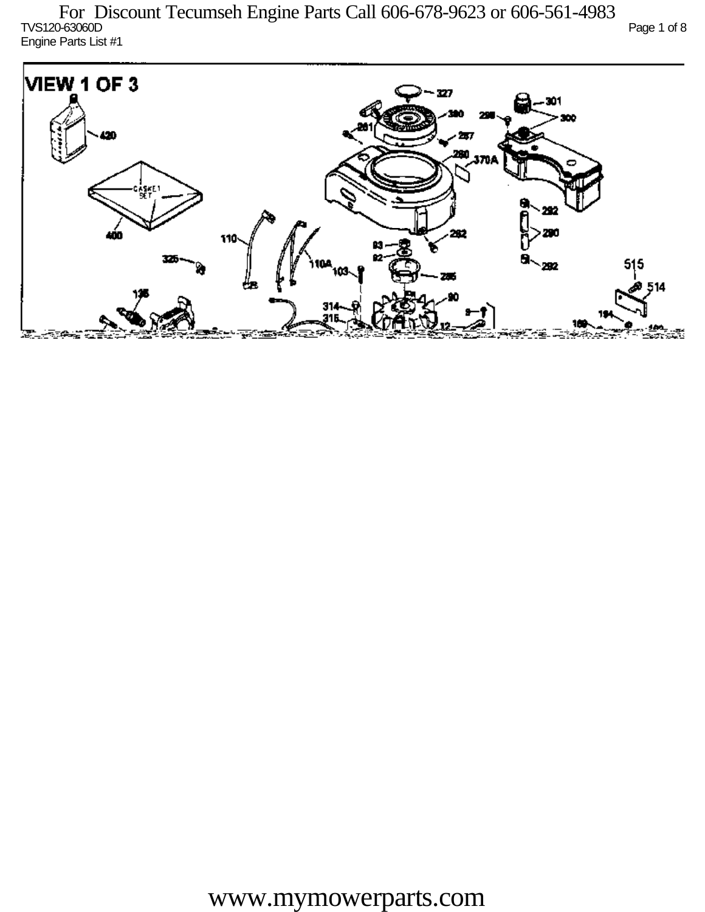TVS120-63060D Page 1 of 8 Engine Parts List #1

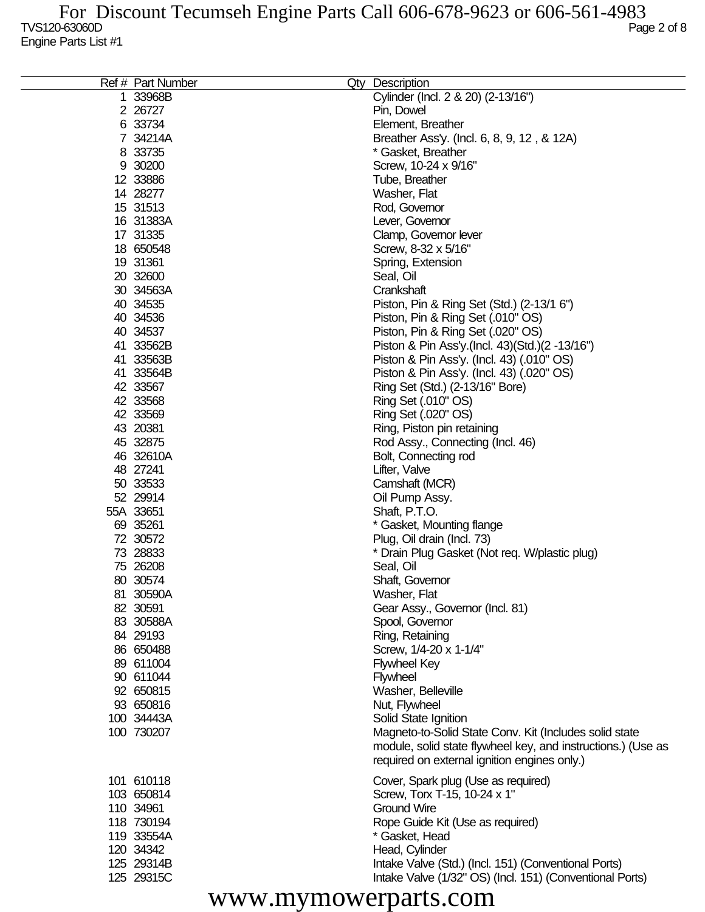| Ref # Part Number | Qty Description                                              |
|-------------------|--------------------------------------------------------------|
| 1 33968B          | Cylinder (Incl. 2 & 20) (2-13/16")                           |
| 2 26727           | Pin, Dowel                                                   |
| 6 33734           | Element, Breather                                            |
| 7 34214A          | Breather Ass'y. (Incl. 6, 8, 9, 12, & 12A)                   |
| 8 33735           | * Gasket, Breather                                           |
| 9 30200           | Screw, 10-24 x 9/16"                                         |
| 12 33886          | Tube, Breather                                               |
| 14 28277          | Washer, Flat                                                 |
| 15 31513          | Rod, Governor                                                |
| 16 31383A         | Lever, Governor                                              |
| 17 31335          | Clamp, Governor lever                                        |
| 18 650548         | Screw, 8-32 x 5/16"                                          |
| 19 31361          | Spring, Extension                                            |
| 20 32600          | Seal, Oil                                                    |
| 30 34563A         | Crankshaft                                                   |
| 40 34535          | Piston, Pin & Ring Set (Std.) (2-13/1 6")                    |
| 40 34536          | Piston, Pin & Ring Set (.010" OS)                            |
| 40 34537          | Piston, Pin & Ring Set (.020" OS)                            |
| 41 33562B         | Piston & Pin Ass'y.(Incl. 43)(Std.)(2 -13/16")               |
| 41 33563B         | Piston & Pin Ass'y. (Incl. 43) (.010" OS)                    |
| 41 33564B         | Piston & Pin Ass'y. (Incl. 43) (.020" OS)                    |
| 42 33567          | Ring Set (Std.) (2-13/16" Bore)                              |
| 42 33568          | Ring Set (.010" OS)                                          |
| 42 33569          | Ring Set (.020" OS)                                          |
| 43 20381          | Ring, Piston pin retaining                                   |
| 45 32875          | Rod Assy., Connecting (Incl. 46)                             |
| 46 32610A         | Bolt, Connecting rod                                         |
| 48 27241          | Lifter, Valve                                                |
| 50 33533          | Camshaft (MCR)                                               |
| 52 29914          | Oil Pump Assy.                                               |
| 55A 33651         | Shaft, P.T.O.                                                |
| 69 35261          | * Gasket, Mounting flange                                    |
| 72 30572          | Plug, Oil drain (Incl. 73)                                   |
| 73 28833          | * Drain Plug Gasket (Not req. W/plastic plug)                |
| 75 26208          | Seal, Oil                                                    |
| 80 30574          | Shaft, Governor                                              |
| 81 30590A         | Washer, Flat                                                 |
| 82 30591          | Gear Assy., Governor (Incl. 81)                              |
| 83 30588A         | Spool, Governor                                              |
| 84 29193          | Ring, Retaining                                              |
| 86 650488         | Screw, 1/4-20 x 1-1/4"                                       |
| 89 611004         | <b>Flywheel Key</b>                                          |
| 90 611044         | <b>Flywheel</b>                                              |
| 92 650815         | Washer, Belleville                                           |
| 93 650816         | Nut, Flywheel                                                |
| 100 34443A        | Solid State Ignition                                         |
| 100 730207        | Magneto-to-Solid State Conv. Kit (Includes solid state       |
|                   | module, solid state flywheel key, and instructions.) (Use as |
|                   | required on external ignition engines only.)                 |
| 101 610118        | Cover, Spark plug (Use as required)                          |
| 103 650814        | Screw, Torx T-15, 10-24 x 1"                                 |
| 110 34961         | <b>Ground Wire</b>                                           |
| 118 730194        | Rope Guide Kit (Use as required)                             |
| 119 33554A        | * Gasket, Head                                               |
| 120 34342         | Head, Cylinder                                               |
| 125 29314B        | Intake Valve (Std.) (Incl. 151) (Conventional Ports)         |
| 125 29315C        | Intake Valve (1/32" OS) (Incl. 151) (Conventional Ports)     |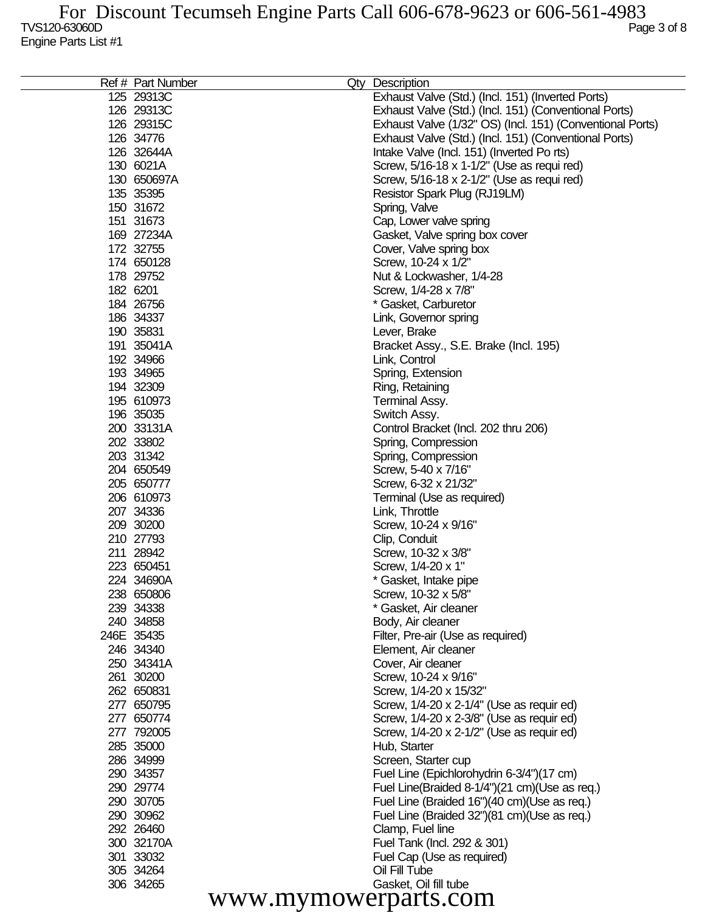| Exhaust Valve (Std.) (Incl. 151) (Inverted Ports)<br>125 29313C<br>126 29313C<br>Exhaust Valve (Std.) (Incl. 151) (Conventional Ports)<br>Exhaust Valve (1/32" OS) (Incl. 151) (Conventional Ports)<br>126 29315C<br>126 34776<br>Exhaust Valve (Std.) (Incl. 151) (Conventional Ports)<br>126 32644A<br>Intake Valve (Incl. 151) (Inverted Po rts)<br>130 6021A<br>Screw, 5/16-18 x 1-1/2" (Use as requi red)<br>Screw, 5/16-18 x 2-1/2" (Use as requi red)<br>130 650697A<br>135 35395<br>Resistor Spark Plug (RJ19LM)<br>150 31672<br>Spring, Valve<br>151 31673<br>Cap, Lower valve spring<br>169 27234A<br>Gasket, Valve spring box cover<br>172 32755<br>Cover, Valve spring box<br>174 650128<br>Screw, 10-24 x 1/2"<br>178 29752<br>Nut & Lockwasher, 1/4-28<br>182 6201<br>Screw, 1/4-28 x 7/8"<br>184 26756<br>* Gasket, Carburetor<br>186 34337<br>Link, Governor spring<br>190 35831<br>Lever, Brake<br>191 35041A<br>Bracket Assy., S.E. Brake (Incl. 195)<br>192 34966<br>Link, Control<br>193 34965<br>Spring, Extension<br>194 32309<br>Ring, Retaining<br>195 610973<br><b>Terminal Assy.</b><br>196 35035<br>Switch Assy.<br>200 33131A<br>Control Bracket (Incl. 202 thru 206)<br>202 33802<br>Spring, Compression<br>203 31342<br>Spring, Compression<br>204 650549<br>Screw, 5-40 x 7/16"<br>205 650777<br>Screw, 6-32 x 21/32"<br>206 610973<br>Terminal (Use as required)<br>207 34336<br>Link, Throttle<br>209 30200<br>Screw, 10-24 x 9/16"<br>210 27793<br>Clip, Conduit<br>211 28942<br>Screw, 10-32 x 3/8"<br>223 650451<br>Screw, 1/4-20 x 1"<br>224 34690A<br>* Gasket, Intake pipe<br>238 650806<br>Screw, 10-32 x 5/8"<br>239 34338<br>* Gasket, Air cleaner<br>240 34858<br>Body, Air cleaner<br>246E 35435<br>Filter, Pre-air (Use as required)<br>246 34340<br>Element, Air cleaner<br>250 34341A<br>Cover, Air cleaner<br>261 30200<br>Screw, 10-24 x 9/16"<br>262 650831<br>Screw, 1/4-20 x 15/32"<br>277 650795<br>Screw, 1/4-20 x 2-1/4" (Use as requir ed)<br>Screw, 1/4-20 x 2-3/8" (Use as requir ed)<br>277 650774<br>277 792005<br>Screw, 1/4-20 x 2-1/2" (Use as requir ed)<br>285 35000<br>Hub, Starter<br>286 34999<br>Screen, Starter cup<br>290 34357<br>Fuel Line (Epichlorohydrin 6-3/4")(17 cm)<br>290 29774<br>Fuel Line(Braided 8-1/4")(21 cm)(Use as req.)<br>290 30705<br>Fuel Line (Braided 16")(40 cm)(Use as req.)<br>Fuel Line (Braided 32")(81 cm)(Use as req.)<br>290 30962<br>292 26460<br>Clamp, Fuel line<br>300 32170A<br>Fuel Tank (Incl. 292 & 301)<br>301 33032<br>Fuel Cap (Use as required)<br>Oil Fill Tube<br>305 34264<br>306 34265<br>Gasket, Oil fill tube<br>www.mymowerparts.com | Ref # Part Number | Qty Description |
|----------------------------------------------------------------------------------------------------------------------------------------------------------------------------------------------------------------------------------------------------------------------------------------------------------------------------------------------------------------------------------------------------------------------------------------------------------------------------------------------------------------------------------------------------------------------------------------------------------------------------------------------------------------------------------------------------------------------------------------------------------------------------------------------------------------------------------------------------------------------------------------------------------------------------------------------------------------------------------------------------------------------------------------------------------------------------------------------------------------------------------------------------------------------------------------------------------------------------------------------------------------------------------------------------------------------------------------------------------------------------------------------------------------------------------------------------------------------------------------------------------------------------------------------------------------------------------------------------------------------------------------------------------------------------------------------------------------------------------------------------------------------------------------------------------------------------------------------------------------------------------------------------------------------------------------------------------------------------------------------------------------------------------------------------------------------------------------------------------------------------------------------------------------------------------------------------------------------------------------------------------------------------------------------------------------------------------------------------------------------------------------------------------------------------------------------------------------------------------------------------------------------------------------------------------------------------------------------------------------------------------------------------------------|-------------------|-----------------|
|                                                                                                                                                                                                                                                                                                                                                                                                                                                                                                                                                                                                                                                                                                                                                                                                                                                                                                                                                                                                                                                                                                                                                                                                                                                                                                                                                                                                                                                                                                                                                                                                                                                                                                                                                                                                                                                                                                                                                                                                                                                                                                                                                                                                                                                                                                                                                                                                                                                                                                                                                                                                                                                                |                   |                 |
|                                                                                                                                                                                                                                                                                                                                                                                                                                                                                                                                                                                                                                                                                                                                                                                                                                                                                                                                                                                                                                                                                                                                                                                                                                                                                                                                                                                                                                                                                                                                                                                                                                                                                                                                                                                                                                                                                                                                                                                                                                                                                                                                                                                                                                                                                                                                                                                                                                                                                                                                                                                                                                                                |                   |                 |
|                                                                                                                                                                                                                                                                                                                                                                                                                                                                                                                                                                                                                                                                                                                                                                                                                                                                                                                                                                                                                                                                                                                                                                                                                                                                                                                                                                                                                                                                                                                                                                                                                                                                                                                                                                                                                                                                                                                                                                                                                                                                                                                                                                                                                                                                                                                                                                                                                                                                                                                                                                                                                                                                |                   |                 |
|                                                                                                                                                                                                                                                                                                                                                                                                                                                                                                                                                                                                                                                                                                                                                                                                                                                                                                                                                                                                                                                                                                                                                                                                                                                                                                                                                                                                                                                                                                                                                                                                                                                                                                                                                                                                                                                                                                                                                                                                                                                                                                                                                                                                                                                                                                                                                                                                                                                                                                                                                                                                                                                                |                   |                 |
|                                                                                                                                                                                                                                                                                                                                                                                                                                                                                                                                                                                                                                                                                                                                                                                                                                                                                                                                                                                                                                                                                                                                                                                                                                                                                                                                                                                                                                                                                                                                                                                                                                                                                                                                                                                                                                                                                                                                                                                                                                                                                                                                                                                                                                                                                                                                                                                                                                                                                                                                                                                                                                                                |                   |                 |
|                                                                                                                                                                                                                                                                                                                                                                                                                                                                                                                                                                                                                                                                                                                                                                                                                                                                                                                                                                                                                                                                                                                                                                                                                                                                                                                                                                                                                                                                                                                                                                                                                                                                                                                                                                                                                                                                                                                                                                                                                                                                                                                                                                                                                                                                                                                                                                                                                                                                                                                                                                                                                                                                |                   |                 |
|                                                                                                                                                                                                                                                                                                                                                                                                                                                                                                                                                                                                                                                                                                                                                                                                                                                                                                                                                                                                                                                                                                                                                                                                                                                                                                                                                                                                                                                                                                                                                                                                                                                                                                                                                                                                                                                                                                                                                                                                                                                                                                                                                                                                                                                                                                                                                                                                                                                                                                                                                                                                                                                                |                   |                 |
|                                                                                                                                                                                                                                                                                                                                                                                                                                                                                                                                                                                                                                                                                                                                                                                                                                                                                                                                                                                                                                                                                                                                                                                                                                                                                                                                                                                                                                                                                                                                                                                                                                                                                                                                                                                                                                                                                                                                                                                                                                                                                                                                                                                                                                                                                                                                                                                                                                                                                                                                                                                                                                                                |                   |                 |
|                                                                                                                                                                                                                                                                                                                                                                                                                                                                                                                                                                                                                                                                                                                                                                                                                                                                                                                                                                                                                                                                                                                                                                                                                                                                                                                                                                                                                                                                                                                                                                                                                                                                                                                                                                                                                                                                                                                                                                                                                                                                                                                                                                                                                                                                                                                                                                                                                                                                                                                                                                                                                                                                |                   |                 |
|                                                                                                                                                                                                                                                                                                                                                                                                                                                                                                                                                                                                                                                                                                                                                                                                                                                                                                                                                                                                                                                                                                                                                                                                                                                                                                                                                                                                                                                                                                                                                                                                                                                                                                                                                                                                                                                                                                                                                                                                                                                                                                                                                                                                                                                                                                                                                                                                                                                                                                                                                                                                                                                                |                   |                 |
|                                                                                                                                                                                                                                                                                                                                                                                                                                                                                                                                                                                                                                                                                                                                                                                                                                                                                                                                                                                                                                                                                                                                                                                                                                                                                                                                                                                                                                                                                                                                                                                                                                                                                                                                                                                                                                                                                                                                                                                                                                                                                                                                                                                                                                                                                                                                                                                                                                                                                                                                                                                                                                                                |                   |                 |
|                                                                                                                                                                                                                                                                                                                                                                                                                                                                                                                                                                                                                                                                                                                                                                                                                                                                                                                                                                                                                                                                                                                                                                                                                                                                                                                                                                                                                                                                                                                                                                                                                                                                                                                                                                                                                                                                                                                                                                                                                                                                                                                                                                                                                                                                                                                                                                                                                                                                                                                                                                                                                                                                |                   |                 |
|                                                                                                                                                                                                                                                                                                                                                                                                                                                                                                                                                                                                                                                                                                                                                                                                                                                                                                                                                                                                                                                                                                                                                                                                                                                                                                                                                                                                                                                                                                                                                                                                                                                                                                                                                                                                                                                                                                                                                                                                                                                                                                                                                                                                                                                                                                                                                                                                                                                                                                                                                                                                                                                                |                   |                 |
|                                                                                                                                                                                                                                                                                                                                                                                                                                                                                                                                                                                                                                                                                                                                                                                                                                                                                                                                                                                                                                                                                                                                                                                                                                                                                                                                                                                                                                                                                                                                                                                                                                                                                                                                                                                                                                                                                                                                                                                                                                                                                                                                                                                                                                                                                                                                                                                                                                                                                                                                                                                                                                                                |                   |                 |
|                                                                                                                                                                                                                                                                                                                                                                                                                                                                                                                                                                                                                                                                                                                                                                                                                                                                                                                                                                                                                                                                                                                                                                                                                                                                                                                                                                                                                                                                                                                                                                                                                                                                                                                                                                                                                                                                                                                                                                                                                                                                                                                                                                                                                                                                                                                                                                                                                                                                                                                                                                                                                                                                |                   |                 |
|                                                                                                                                                                                                                                                                                                                                                                                                                                                                                                                                                                                                                                                                                                                                                                                                                                                                                                                                                                                                                                                                                                                                                                                                                                                                                                                                                                                                                                                                                                                                                                                                                                                                                                                                                                                                                                                                                                                                                                                                                                                                                                                                                                                                                                                                                                                                                                                                                                                                                                                                                                                                                                                                |                   |                 |
|                                                                                                                                                                                                                                                                                                                                                                                                                                                                                                                                                                                                                                                                                                                                                                                                                                                                                                                                                                                                                                                                                                                                                                                                                                                                                                                                                                                                                                                                                                                                                                                                                                                                                                                                                                                                                                                                                                                                                                                                                                                                                                                                                                                                                                                                                                                                                                                                                                                                                                                                                                                                                                                                |                   |                 |
|                                                                                                                                                                                                                                                                                                                                                                                                                                                                                                                                                                                                                                                                                                                                                                                                                                                                                                                                                                                                                                                                                                                                                                                                                                                                                                                                                                                                                                                                                                                                                                                                                                                                                                                                                                                                                                                                                                                                                                                                                                                                                                                                                                                                                                                                                                                                                                                                                                                                                                                                                                                                                                                                |                   |                 |
|                                                                                                                                                                                                                                                                                                                                                                                                                                                                                                                                                                                                                                                                                                                                                                                                                                                                                                                                                                                                                                                                                                                                                                                                                                                                                                                                                                                                                                                                                                                                                                                                                                                                                                                                                                                                                                                                                                                                                                                                                                                                                                                                                                                                                                                                                                                                                                                                                                                                                                                                                                                                                                                                |                   |                 |
|                                                                                                                                                                                                                                                                                                                                                                                                                                                                                                                                                                                                                                                                                                                                                                                                                                                                                                                                                                                                                                                                                                                                                                                                                                                                                                                                                                                                                                                                                                                                                                                                                                                                                                                                                                                                                                                                                                                                                                                                                                                                                                                                                                                                                                                                                                                                                                                                                                                                                                                                                                                                                                                                |                   |                 |
|                                                                                                                                                                                                                                                                                                                                                                                                                                                                                                                                                                                                                                                                                                                                                                                                                                                                                                                                                                                                                                                                                                                                                                                                                                                                                                                                                                                                                                                                                                                                                                                                                                                                                                                                                                                                                                                                                                                                                                                                                                                                                                                                                                                                                                                                                                                                                                                                                                                                                                                                                                                                                                                                |                   |                 |
|                                                                                                                                                                                                                                                                                                                                                                                                                                                                                                                                                                                                                                                                                                                                                                                                                                                                                                                                                                                                                                                                                                                                                                                                                                                                                                                                                                                                                                                                                                                                                                                                                                                                                                                                                                                                                                                                                                                                                                                                                                                                                                                                                                                                                                                                                                                                                                                                                                                                                                                                                                                                                                                                |                   |                 |
|                                                                                                                                                                                                                                                                                                                                                                                                                                                                                                                                                                                                                                                                                                                                                                                                                                                                                                                                                                                                                                                                                                                                                                                                                                                                                                                                                                                                                                                                                                                                                                                                                                                                                                                                                                                                                                                                                                                                                                                                                                                                                                                                                                                                                                                                                                                                                                                                                                                                                                                                                                                                                                                                |                   |                 |
|                                                                                                                                                                                                                                                                                                                                                                                                                                                                                                                                                                                                                                                                                                                                                                                                                                                                                                                                                                                                                                                                                                                                                                                                                                                                                                                                                                                                                                                                                                                                                                                                                                                                                                                                                                                                                                                                                                                                                                                                                                                                                                                                                                                                                                                                                                                                                                                                                                                                                                                                                                                                                                                                |                   |                 |
|                                                                                                                                                                                                                                                                                                                                                                                                                                                                                                                                                                                                                                                                                                                                                                                                                                                                                                                                                                                                                                                                                                                                                                                                                                                                                                                                                                                                                                                                                                                                                                                                                                                                                                                                                                                                                                                                                                                                                                                                                                                                                                                                                                                                                                                                                                                                                                                                                                                                                                                                                                                                                                                                |                   |                 |
|                                                                                                                                                                                                                                                                                                                                                                                                                                                                                                                                                                                                                                                                                                                                                                                                                                                                                                                                                                                                                                                                                                                                                                                                                                                                                                                                                                                                                                                                                                                                                                                                                                                                                                                                                                                                                                                                                                                                                                                                                                                                                                                                                                                                                                                                                                                                                                                                                                                                                                                                                                                                                                                                |                   |                 |
|                                                                                                                                                                                                                                                                                                                                                                                                                                                                                                                                                                                                                                                                                                                                                                                                                                                                                                                                                                                                                                                                                                                                                                                                                                                                                                                                                                                                                                                                                                                                                                                                                                                                                                                                                                                                                                                                                                                                                                                                                                                                                                                                                                                                                                                                                                                                                                                                                                                                                                                                                                                                                                                                |                   |                 |
|                                                                                                                                                                                                                                                                                                                                                                                                                                                                                                                                                                                                                                                                                                                                                                                                                                                                                                                                                                                                                                                                                                                                                                                                                                                                                                                                                                                                                                                                                                                                                                                                                                                                                                                                                                                                                                                                                                                                                                                                                                                                                                                                                                                                                                                                                                                                                                                                                                                                                                                                                                                                                                                                |                   |                 |
|                                                                                                                                                                                                                                                                                                                                                                                                                                                                                                                                                                                                                                                                                                                                                                                                                                                                                                                                                                                                                                                                                                                                                                                                                                                                                                                                                                                                                                                                                                                                                                                                                                                                                                                                                                                                                                                                                                                                                                                                                                                                                                                                                                                                                                                                                                                                                                                                                                                                                                                                                                                                                                                                |                   |                 |
|                                                                                                                                                                                                                                                                                                                                                                                                                                                                                                                                                                                                                                                                                                                                                                                                                                                                                                                                                                                                                                                                                                                                                                                                                                                                                                                                                                                                                                                                                                                                                                                                                                                                                                                                                                                                                                                                                                                                                                                                                                                                                                                                                                                                                                                                                                                                                                                                                                                                                                                                                                                                                                                                |                   |                 |
|                                                                                                                                                                                                                                                                                                                                                                                                                                                                                                                                                                                                                                                                                                                                                                                                                                                                                                                                                                                                                                                                                                                                                                                                                                                                                                                                                                                                                                                                                                                                                                                                                                                                                                                                                                                                                                                                                                                                                                                                                                                                                                                                                                                                                                                                                                                                                                                                                                                                                                                                                                                                                                                                |                   |                 |
|                                                                                                                                                                                                                                                                                                                                                                                                                                                                                                                                                                                                                                                                                                                                                                                                                                                                                                                                                                                                                                                                                                                                                                                                                                                                                                                                                                                                                                                                                                                                                                                                                                                                                                                                                                                                                                                                                                                                                                                                                                                                                                                                                                                                                                                                                                                                                                                                                                                                                                                                                                                                                                                                |                   |                 |
|                                                                                                                                                                                                                                                                                                                                                                                                                                                                                                                                                                                                                                                                                                                                                                                                                                                                                                                                                                                                                                                                                                                                                                                                                                                                                                                                                                                                                                                                                                                                                                                                                                                                                                                                                                                                                                                                                                                                                                                                                                                                                                                                                                                                                                                                                                                                                                                                                                                                                                                                                                                                                                                                |                   |                 |
|                                                                                                                                                                                                                                                                                                                                                                                                                                                                                                                                                                                                                                                                                                                                                                                                                                                                                                                                                                                                                                                                                                                                                                                                                                                                                                                                                                                                                                                                                                                                                                                                                                                                                                                                                                                                                                                                                                                                                                                                                                                                                                                                                                                                                                                                                                                                                                                                                                                                                                                                                                                                                                                                |                   |                 |
|                                                                                                                                                                                                                                                                                                                                                                                                                                                                                                                                                                                                                                                                                                                                                                                                                                                                                                                                                                                                                                                                                                                                                                                                                                                                                                                                                                                                                                                                                                                                                                                                                                                                                                                                                                                                                                                                                                                                                                                                                                                                                                                                                                                                                                                                                                                                                                                                                                                                                                                                                                                                                                                                |                   |                 |
|                                                                                                                                                                                                                                                                                                                                                                                                                                                                                                                                                                                                                                                                                                                                                                                                                                                                                                                                                                                                                                                                                                                                                                                                                                                                                                                                                                                                                                                                                                                                                                                                                                                                                                                                                                                                                                                                                                                                                                                                                                                                                                                                                                                                                                                                                                                                                                                                                                                                                                                                                                                                                                                                |                   |                 |
|                                                                                                                                                                                                                                                                                                                                                                                                                                                                                                                                                                                                                                                                                                                                                                                                                                                                                                                                                                                                                                                                                                                                                                                                                                                                                                                                                                                                                                                                                                                                                                                                                                                                                                                                                                                                                                                                                                                                                                                                                                                                                                                                                                                                                                                                                                                                                                                                                                                                                                                                                                                                                                                                |                   |                 |
|                                                                                                                                                                                                                                                                                                                                                                                                                                                                                                                                                                                                                                                                                                                                                                                                                                                                                                                                                                                                                                                                                                                                                                                                                                                                                                                                                                                                                                                                                                                                                                                                                                                                                                                                                                                                                                                                                                                                                                                                                                                                                                                                                                                                                                                                                                                                                                                                                                                                                                                                                                                                                                                                |                   |                 |
|                                                                                                                                                                                                                                                                                                                                                                                                                                                                                                                                                                                                                                                                                                                                                                                                                                                                                                                                                                                                                                                                                                                                                                                                                                                                                                                                                                                                                                                                                                                                                                                                                                                                                                                                                                                                                                                                                                                                                                                                                                                                                                                                                                                                                                                                                                                                                                                                                                                                                                                                                                                                                                                                |                   |                 |
|                                                                                                                                                                                                                                                                                                                                                                                                                                                                                                                                                                                                                                                                                                                                                                                                                                                                                                                                                                                                                                                                                                                                                                                                                                                                                                                                                                                                                                                                                                                                                                                                                                                                                                                                                                                                                                                                                                                                                                                                                                                                                                                                                                                                                                                                                                                                                                                                                                                                                                                                                                                                                                                                |                   |                 |
|                                                                                                                                                                                                                                                                                                                                                                                                                                                                                                                                                                                                                                                                                                                                                                                                                                                                                                                                                                                                                                                                                                                                                                                                                                                                                                                                                                                                                                                                                                                                                                                                                                                                                                                                                                                                                                                                                                                                                                                                                                                                                                                                                                                                                                                                                                                                                                                                                                                                                                                                                                                                                                                                |                   |                 |
|                                                                                                                                                                                                                                                                                                                                                                                                                                                                                                                                                                                                                                                                                                                                                                                                                                                                                                                                                                                                                                                                                                                                                                                                                                                                                                                                                                                                                                                                                                                                                                                                                                                                                                                                                                                                                                                                                                                                                                                                                                                                                                                                                                                                                                                                                                                                                                                                                                                                                                                                                                                                                                                                |                   |                 |
|                                                                                                                                                                                                                                                                                                                                                                                                                                                                                                                                                                                                                                                                                                                                                                                                                                                                                                                                                                                                                                                                                                                                                                                                                                                                                                                                                                                                                                                                                                                                                                                                                                                                                                                                                                                                                                                                                                                                                                                                                                                                                                                                                                                                                                                                                                                                                                                                                                                                                                                                                                                                                                                                |                   |                 |
|                                                                                                                                                                                                                                                                                                                                                                                                                                                                                                                                                                                                                                                                                                                                                                                                                                                                                                                                                                                                                                                                                                                                                                                                                                                                                                                                                                                                                                                                                                                                                                                                                                                                                                                                                                                                                                                                                                                                                                                                                                                                                                                                                                                                                                                                                                                                                                                                                                                                                                                                                                                                                                                                |                   |                 |
|                                                                                                                                                                                                                                                                                                                                                                                                                                                                                                                                                                                                                                                                                                                                                                                                                                                                                                                                                                                                                                                                                                                                                                                                                                                                                                                                                                                                                                                                                                                                                                                                                                                                                                                                                                                                                                                                                                                                                                                                                                                                                                                                                                                                                                                                                                                                                                                                                                                                                                                                                                                                                                                                |                   |                 |
|                                                                                                                                                                                                                                                                                                                                                                                                                                                                                                                                                                                                                                                                                                                                                                                                                                                                                                                                                                                                                                                                                                                                                                                                                                                                                                                                                                                                                                                                                                                                                                                                                                                                                                                                                                                                                                                                                                                                                                                                                                                                                                                                                                                                                                                                                                                                                                                                                                                                                                                                                                                                                                                                |                   |                 |
|                                                                                                                                                                                                                                                                                                                                                                                                                                                                                                                                                                                                                                                                                                                                                                                                                                                                                                                                                                                                                                                                                                                                                                                                                                                                                                                                                                                                                                                                                                                                                                                                                                                                                                                                                                                                                                                                                                                                                                                                                                                                                                                                                                                                                                                                                                                                                                                                                                                                                                                                                                                                                                                                |                   |                 |
|                                                                                                                                                                                                                                                                                                                                                                                                                                                                                                                                                                                                                                                                                                                                                                                                                                                                                                                                                                                                                                                                                                                                                                                                                                                                                                                                                                                                                                                                                                                                                                                                                                                                                                                                                                                                                                                                                                                                                                                                                                                                                                                                                                                                                                                                                                                                                                                                                                                                                                                                                                                                                                                                |                   |                 |
|                                                                                                                                                                                                                                                                                                                                                                                                                                                                                                                                                                                                                                                                                                                                                                                                                                                                                                                                                                                                                                                                                                                                                                                                                                                                                                                                                                                                                                                                                                                                                                                                                                                                                                                                                                                                                                                                                                                                                                                                                                                                                                                                                                                                                                                                                                                                                                                                                                                                                                                                                                                                                                                                |                   |                 |
|                                                                                                                                                                                                                                                                                                                                                                                                                                                                                                                                                                                                                                                                                                                                                                                                                                                                                                                                                                                                                                                                                                                                                                                                                                                                                                                                                                                                                                                                                                                                                                                                                                                                                                                                                                                                                                                                                                                                                                                                                                                                                                                                                                                                                                                                                                                                                                                                                                                                                                                                                                                                                                                                |                   |                 |
|                                                                                                                                                                                                                                                                                                                                                                                                                                                                                                                                                                                                                                                                                                                                                                                                                                                                                                                                                                                                                                                                                                                                                                                                                                                                                                                                                                                                                                                                                                                                                                                                                                                                                                                                                                                                                                                                                                                                                                                                                                                                                                                                                                                                                                                                                                                                                                                                                                                                                                                                                                                                                                                                |                   |                 |
|                                                                                                                                                                                                                                                                                                                                                                                                                                                                                                                                                                                                                                                                                                                                                                                                                                                                                                                                                                                                                                                                                                                                                                                                                                                                                                                                                                                                                                                                                                                                                                                                                                                                                                                                                                                                                                                                                                                                                                                                                                                                                                                                                                                                                                                                                                                                                                                                                                                                                                                                                                                                                                                                |                   |                 |
|                                                                                                                                                                                                                                                                                                                                                                                                                                                                                                                                                                                                                                                                                                                                                                                                                                                                                                                                                                                                                                                                                                                                                                                                                                                                                                                                                                                                                                                                                                                                                                                                                                                                                                                                                                                                                                                                                                                                                                                                                                                                                                                                                                                                                                                                                                                                                                                                                                                                                                                                                                                                                                                                |                   |                 |
|                                                                                                                                                                                                                                                                                                                                                                                                                                                                                                                                                                                                                                                                                                                                                                                                                                                                                                                                                                                                                                                                                                                                                                                                                                                                                                                                                                                                                                                                                                                                                                                                                                                                                                                                                                                                                                                                                                                                                                                                                                                                                                                                                                                                                                                                                                                                                                                                                                                                                                                                                                                                                                                                |                   |                 |
|                                                                                                                                                                                                                                                                                                                                                                                                                                                                                                                                                                                                                                                                                                                                                                                                                                                                                                                                                                                                                                                                                                                                                                                                                                                                                                                                                                                                                                                                                                                                                                                                                                                                                                                                                                                                                                                                                                                                                                                                                                                                                                                                                                                                                                                                                                                                                                                                                                                                                                                                                                                                                                                                |                   |                 |
|                                                                                                                                                                                                                                                                                                                                                                                                                                                                                                                                                                                                                                                                                                                                                                                                                                                                                                                                                                                                                                                                                                                                                                                                                                                                                                                                                                                                                                                                                                                                                                                                                                                                                                                                                                                                                                                                                                                                                                                                                                                                                                                                                                                                                                                                                                                                                                                                                                                                                                                                                                                                                                                                |                   |                 |
|                                                                                                                                                                                                                                                                                                                                                                                                                                                                                                                                                                                                                                                                                                                                                                                                                                                                                                                                                                                                                                                                                                                                                                                                                                                                                                                                                                                                                                                                                                                                                                                                                                                                                                                                                                                                                                                                                                                                                                                                                                                                                                                                                                                                                                                                                                                                                                                                                                                                                                                                                                                                                                                                |                   |                 |
|                                                                                                                                                                                                                                                                                                                                                                                                                                                                                                                                                                                                                                                                                                                                                                                                                                                                                                                                                                                                                                                                                                                                                                                                                                                                                                                                                                                                                                                                                                                                                                                                                                                                                                                                                                                                                                                                                                                                                                                                                                                                                                                                                                                                                                                                                                                                                                                                                                                                                                                                                                                                                                                                |                   |                 |
|                                                                                                                                                                                                                                                                                                                                                                                                                                                                                                                                                                                                                                                                                                                                                                                                                                                                                                                                                                                                                                                                                                                                                                                                                                                                                                                                                                                                                                                                                                                                                                                                                                                                                                                                                                                                                                                                                                                                                                                                                                                                                                                                                                                                                                                                                                                                                                                                                                                                                                                                                                                                                                                                |                   |                 |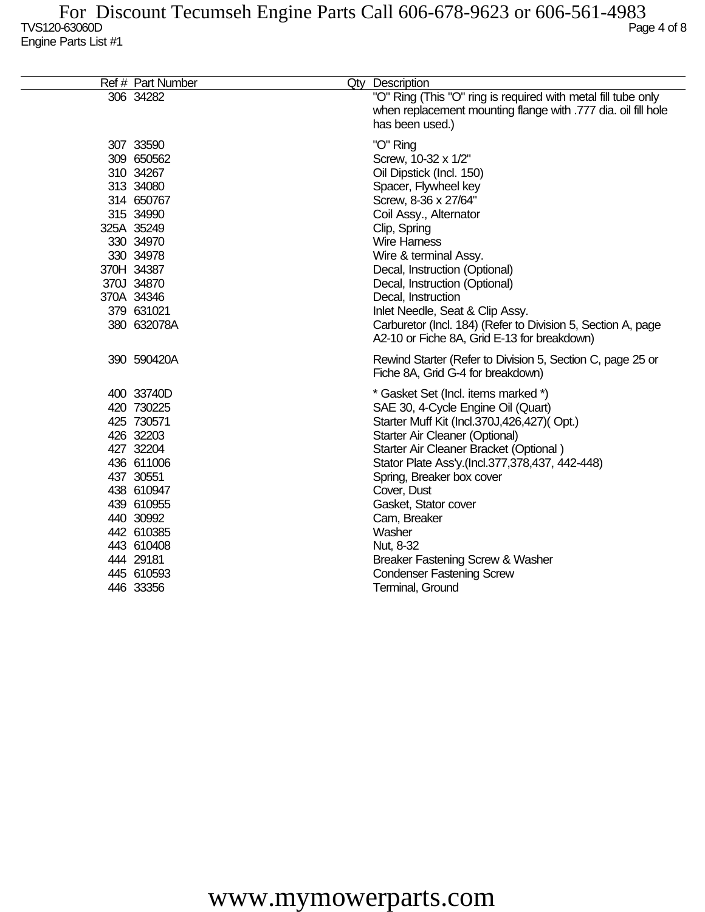| Ref # Part Number                                                                                                                                                                                        | Qty Description                                                                                                                                                                                                                                                                                                                                                                                                                                                     |
|----------------------------------------------------------------------------------------------------------------------------------------------------------------------------------------------------------|---------------------------------------------------------------------------------------------------------------------------------------------------------------------------------------------------------------------------------------------------------------------------------------------------------------------------------------------------------------------------------------------------------------------------------------------------------------------|
| 306 34282                                                                                                                                                                                                | "O" Ring (This "O" ring is required with metal fill tube only<br>when replacement mounting flange with .777 dia. oil fill hole<br>has been used.)                                                                                                                                                                                                                                                                                                                   |
| 307 33590<br>309 650562<br>310 34267<br>313 34080<br>314 650767<br>315 34990<br>325A 35249<br>330 34970<br>330 34978<br>370H 34387<br>370J 34870<br>370A 34346<br>379 631021<br>380 632078A              | "O" Ring<br>Screw, 10-32 x 1/2"<br>Oil Dipstick (Incl. 150)<br>Spacer, Flywheel key<br>Screw, 8-36 x 27/64"<br>Coil Assy., Alternator<br>Clip, Spring<br><b>Wire Harness</b><br>Wire & terminal Assy.<br>Decal, Instruction (Optional)<br>Decal, Instruction (Optional)<br>Decal, Instruction<br>Inlet Needle, Seat & Clip Assy.<br>Carburetor (Incl. 184) (Refer to Division 5, Section A, page<br>A2-10 or Fiche 8A, Grid E-13 for breakdown)                     |
| 390 590420A                                                                                                                                                                                              | Rewind Starter (Refer to Division 5, Section C, page 25 or<br>Fiche 8A, Grid G-4 for breakdown)                                                                                                                                                                                                                                                                                                                                                                     |
| 400 33740D<br>420 730225<br>425 730571<br>426 32203<br>427 32204<br>436 611006<br>437 30551<br>438 610947<br>439 610955<br>440 30992<br>442 610385<br>443 610408<br>444 29181<br>445 610593<br>446 33356 | * Gasket Set (Incl. items marked *)<br>SAE 30, 4-Cycle Engine Oil (Quart)<br>Starter Muff Kit (Incl.370J,426,427)(Opt.)<br>Starter Air Cleaner (Optional)<br>Starter Air Cleaner Bracket (Optional)<br>Stator Plate Ass'y.(Incl.377,378,437, 442-448)<br>Spring, Breaker box cover<br>Cover, Dust<br>Gasket, Stator cover<br>Cam, Breaker<br>Washer<br>Nut, 8-32<br>Breaker Fastening Screw & Washer<br><b>Condenser Fastening Screw</b><br><b>Terminal, Ground</b> |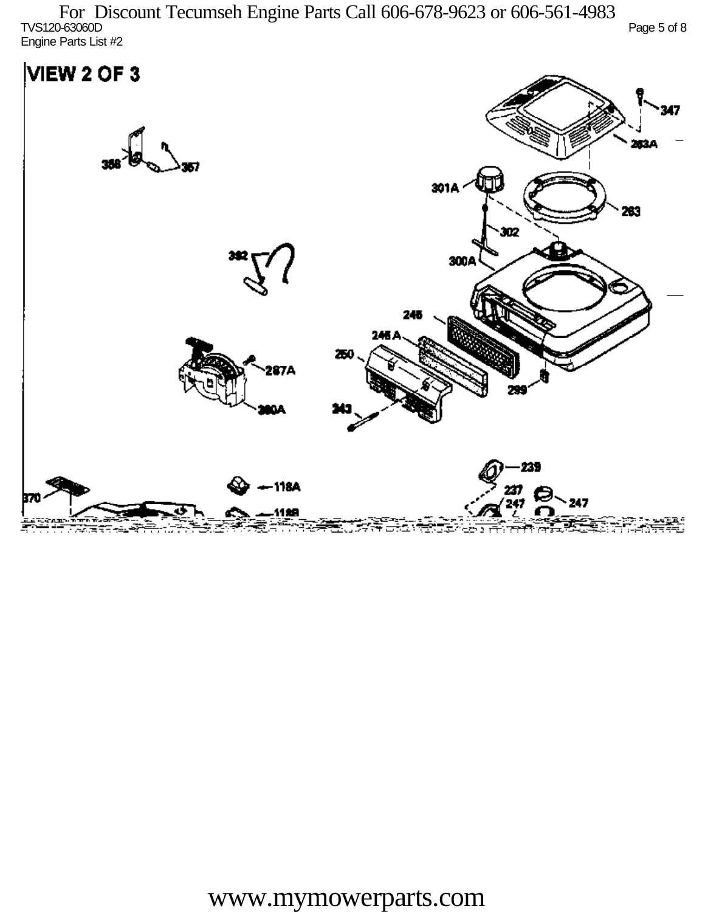TVS120-63060D Page 5 of 8 Engine Parts List #2